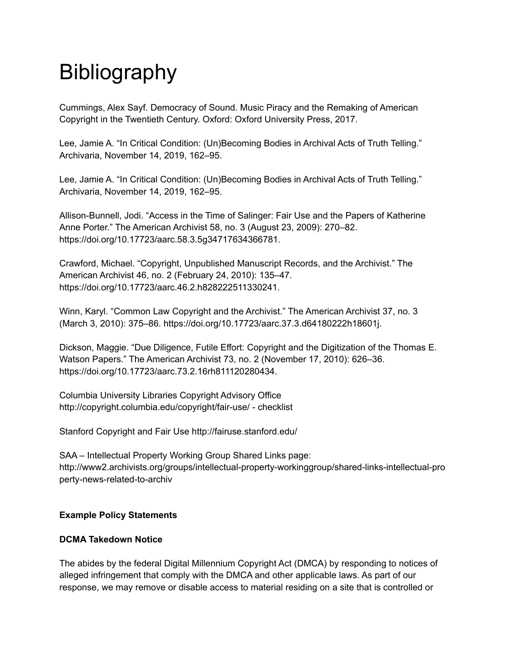# **Bibliography**

Cummings, Alex Sayf. Democracy of Sound. Music Piracy and the Remaking of American Copyright in the Twentieth Century. Oxford: Oxford University Press, 2017.

Lee, Jamie A. "In Critical Condition: (Un)Becoming Bodies in Archival Acts of Truth Telling." Archivaria, November 14, 2019, 162–95.

Lee, Jamie A. "In Critical Condition: (Un)Becoming Bodies in Archival Acts of Truth Telling." Archivaria, November 14, 2019, 162–95.

Allison-Bunnell, Jodi. "Access in the Time of Salinger: Fair Use and the Papers of Katherine Anne Porter." The American Archivist 58, no. 3 (August 23, 2009): 270–82. https://doi.org/10.17723/aarc.58.3.5g34717634366781.

Crawford, Michael. "Copyright, Unpublished Manuscript Records, and the Archivist." The American Archivist 46, no. 2 (February 24, 2010): 135–47. https://doi.org/10.17723/aarc.46.2.h828222511330241.

Winn, Karyl. "Common Law Copyright and the Archivist." The American Archivist 37, no. 3 (March 3, 2010): 375–86. https://doi.org/10.17723/aarc.37.3.d64180222h18601j.

Dickson, Maggie. "Due Diligence, Futile Effort: Copyright and the Digitization of the Thomas E. Watson Papers." The American Archivist 73, no. 2 (November 17, 2010): 626–36. https://doi.org/10.17723/aarc.73.2.16rh811120280434.

Columbia University Libraries Copyright Advisory Office http://copyright.columbia.edu/copyright/fair-use/ - checklist

Stanford Copyright and Fair Use http://fairuse.stanford.edu/

SAA – Intellectual Property Working Group Shared Links page: http://www2.archivists.org/groups/intellectual-property-workinggroup/shared-links-intellectual-pro perty-news-related-to-archiv

# **Example Policy Statements**

# **DCMA Takedown Notice**

The abides by the federal Digital Millennium Copyright Act (DMCA) by responding to notices of alleged infringement that comply with the DMCA and other applicable laws. As part of our response, we may remove or disable access to material residing on a site that is controlled or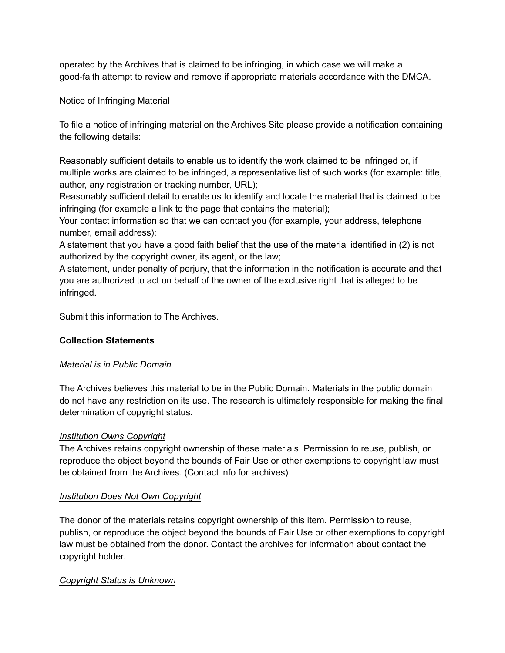operated by the Archives that is claimed to be infringing, in which case we will make a good-faith attempt to review and remove if appropriate materials accordance with the DMCA.

Notice of Infringing Material

To file a notice of infringing material on the Archives Site please provide a notification containing the following details:

Reasonably sufficient details to enable us to identify the work claimed to be infringed or, if multiple works are claimed to be infringed, a representative list of such works (for example: title, author, any registration or tracking number, URL);

Reasonably sufficient detail to enable us to identify and locate the material that is claimed to be infringing (for example a link to the page that contains the material);

Your contact information so that we can contact you (for example, your address, telephone number, email address);

A statement that you have a good faith belief that the use of the material identified in (2) is not authorized by the copyright owner, its agent, or the law;

A statement, under penalty of perjury, that the information in the notification is accurate and that you are authorized to act on behalf of the owner of the exclusive right that is alleged to be infringed.

Submit this information to The Archives.

# **Collection Statements**

### *Material is in Public Domain*

The Archives believes this material to be in the Public Domain. Materials in the public domain do not have any restriction on its use. The research is ultimately responsible for making the final determination of copyright status.

### *Institution Owns Copyright*

The Archives retains copyright ownership of these materials. Permission to reuse, publish, or reproduce the object beyond the bounds of Fair Use or other exemptions to copyright law must be obtained from the Archives. (Contact info for archives)

# *Institution Does Not Own Copyright*

The donor of the materials retains copyright ownership of this item. Permission to reuse, publish, or reproduce the object beyond the bounds of Fair Use or other exemptions to copyright law must be obtained from the donor. Contact the archives for information about contact the copyright holder.

# *Copyright Status is Unknown*